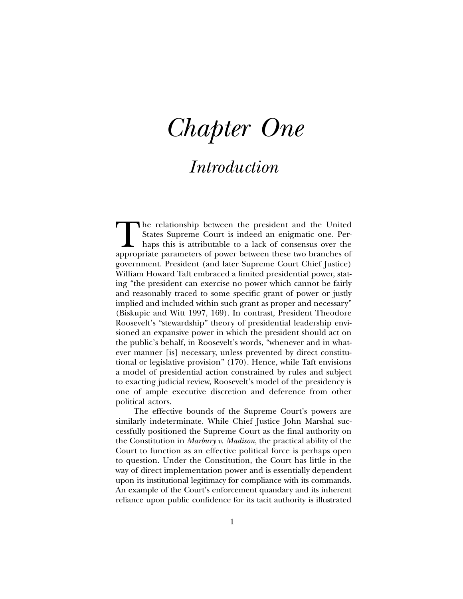# *Chapter One*

## *Introduction*

The relationship between the president and the United States Supreme Court is indeed an enigmatic one. Perhaps this is attributable to a lack of consensus over the appropriate parameters of power between these two branches States Supreme Court is indeed an enigmatic one. Perhaps this is attributable to a lack of consensus over the government. President (and later Supreme Court Chief Justice) William Howard Taft embraced a limited presidential power, stating "the president can exercise no power which cannot be fairly and reasonably traced to some specific grant of power or justly implied and included within such grant as proper and necessary" (Biskupic and Witt 1997, 169). In contrast, President Theodore Roosevelt's "stewardship" theory of presidential leadership envisioned an expansive power in which the president should act on the public's behalf, in Roosevelt's words, "whenever and in whatever manner [is] necessary, unless prevented by direct constitutional or legislative provision" (170). Hence, while Taft envisions a model of presidential action constrained by rules and subject to exacting judicial review, Roosevelt's model of the presidency is one of ample executive discretion and deference from other political actors.

The effective bounds of the Supreme Court's powers are similarly indeterminate. While Chief Justice John Marshal successfully positioned the Supreme Court as the final authority on the Constitution in *Marbury v. Madison*, the practical ability of the Court to function as an effective political force is perhaps open to question. Under the Constitution, the Court has little in the way of direct implementation power and is essentially dependent upon its institutional legitimacy for compliance with its commands. An example of the Court's enforcement quandary and its inherent reliance upon public confidence for its tacit authority is illustrated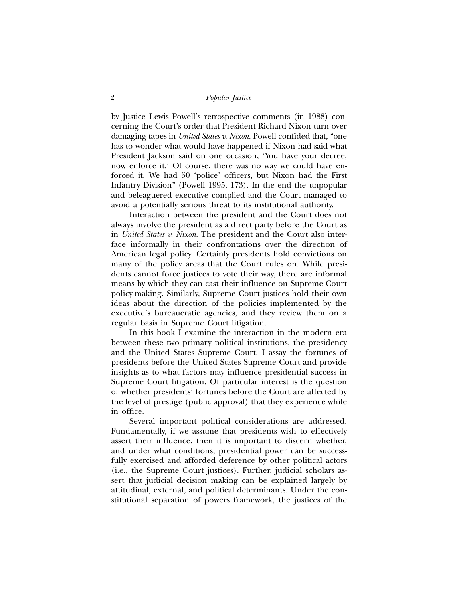by Justice Lewis Powell's retrospective comments (in 1988) concerning the Court's order that President Richard Nixon turn over damaging tapes in *United States v. Nixon*. Powell confided that, "one has to wonder what would have happened if Nixon had said what President Jackson said on one occasion, 'You have your decree, now enforce it.' Of course, there was no way we could have enforced it. We had 50 'police' officers, but Nixon had the First Infantry Division" (Powell 1995, 173). In the end the unpopular and beleaguered executive complied and the Court managed to avoid a potentially serious threat to its institutional authority.

Interaction between the president and the Court does not always involve the president as a direct party before the Court as in *United States v. Nixon*. The president and the Court also interface informally in their confrontations over the direction of American legal policy. Certainly presidents hold convictions on many of the policy areas that the Court rules on. While presidents cannot force justices to vote their way, there are informal means by which they can cast their influence on Supreme Court policy-making. Similarly, Supreme Court justices hold their own ideas about the direction of the policies implemented by the executive's bureaucratic agencies, and they review them on a regular basis in Supreme Court litigation.

In this book I examine the interaction in the modern era between these two primary political institutions, the presidency and the United States Supreme Court. I assay the fortunes of presidents before the United States Supreme Court and provide insights as to what factors may influence presidential success in Supreme Court litigation. Of particular interest is the question of whether presidents' fortunes before the Court are affected by the level of prestige (public approval) that they experience while in office.

Several important political considerations are addressed. Fundamentally, if we assume that presidents wish to effectively assert their influence, then it is important to discern whether, and under what conditions, presidential power can be successfully exercised and afforded deference by other political actors (i.e., the Supreme Court justices). Further, judicial scholars assert that judicial decision making can be explained largely by attitudinal, external, and political determinants. Under the constitutional separation of powers framework, the justices of the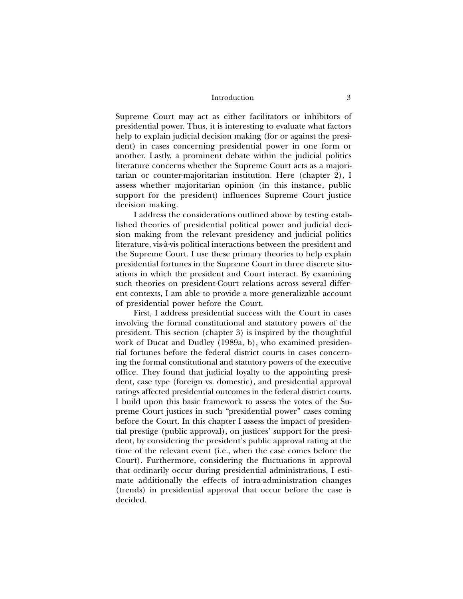#### Introduction 3

Supreme Court may act as either facilitators or inhibitors of presidential power. Thus, it is interesting to evaluate what factors help to explain judicial decision making (for or against the president) in cases concerning presidential power in one form or another. Lastly, a prominent debate within the judicial politics literature concerns whether the Supreme Court acts as a majoritarian or counter-majoritarian institution. Here (chapter 2), I assess whether majoritarian opinion (in this instance, public support for the president) influences Supreme Court justice decision making.

I address the considerations outlined above by testing established theories of presidential political power and judicial decision making from the relevant presidency and judicial politics literature, vis-à-vis political interactions between the president and the Supreme Court. I use these primary theories to help explain presidential fortunes in the Supreme Court in three discrete situations in which the president and Court interact. By examining such theories on president-Court relations across several different contexts, I am able to provide a more generalizable account of presidential power before the Court.

First, I address presidential success with the Court in cases involving the formal constitutional and statutory powers of the president. This section (chapter 3) is inspired by the thoughtful work of Ducat and Dudley (1989a, b), who examined presidential fortunes before the federal district courts in cases concerning the formal constitutional and statutory powers of the executive office. They found that judicial loyalty to the appointing president, case type (foreign vs. domestic), and presidential approval ratings affected presidential outcomes in the federal district courts. I build upon this basic framework to assess the votes of the Supreme Court justices in such "presidential power" cases coming before the Court. In this chapter I assess the impact of presidential prestige (public approval), on justices' support for the president, by considering the president's public approval rating at the time of the relevant event (i.e., when the case comes before the Court). Furthermore, considering the fluctuations in approval that ordinarily occur during presidential administrations, I estimate additionally the effects of intra-administration changes (trends) in presidential approval that occur before the case is decided.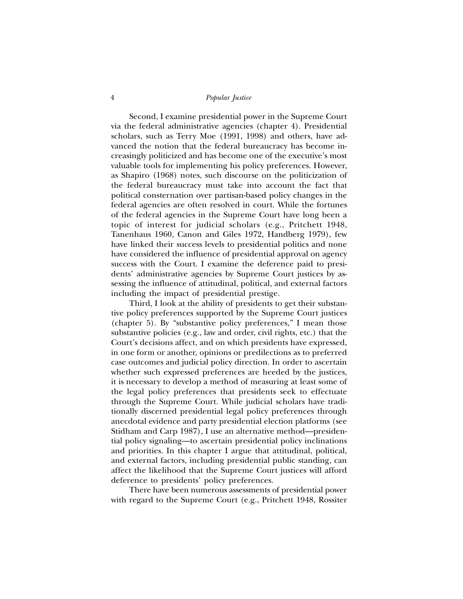### 4 *Popular Justice*

Second, I examine presidential power in the Supreme Court via the federal administrative agencies (chapter 4). Presidential scholars, such as Terry Moe (1991, 1998) and others, have advanced the notion that the federal bureaucracy has become increasingly politicized and has become one of the executive's most valuable tools for implementing his policy preferences. However, as Shapiro (1968) notes, such discourse on the politicization of the federal bureaucracy must take into account the fact that political consternation over partisan-based policy changes in the federal agencies are often resolved in court. While the fortunes of the federal agencies in the Supreme Court have long been a topic of interest for judicial scholars (e.g., Pritchett 1948, Tanenhaus 1960, Canon and Giles 1972, Handberg 1979), few have linked their success levels to presidential politics and none have considered the influence of presidential approval on agency success with the Court. I examine the deference paid to presidents' administrative agencies by Supreme Court justices by assessing the influence of attitudinal, political, and external factors including the impact of presidential prestige.

Third, I look at the ability of presidents to get their substantive policy preferences supported by the Supreme Court justices (chapter 5). By "substantive policy preferences," I mean those substantive policies (e.g., law and order, civil rights, etc.) that the Court's decisions affect, and on which presidents have expressed, in one form or another, opinions or predilections as to preferred case outcomes and judicial policy direction. In order to ascertain whether such expressed preferences are heeded by the justices, it is necessary to develop a method of measuring at least some of the legal policy preferences that presidents seek to effectuate through the Supreme Court. While judicial scholars have traditionally discerned presidential legal policy preferences through anecdotal evidence and party presidential election platforms (see Stidham and Carp 1987), I use an alternative method—presidential policy signaling—to ascertain presidential policy inclinations and priorities. In this chapter I argue that attitudinal, political, and external factors, including presidential public standing, can affect the likelihood that the Supreme Court justices will afford deference to presidents' policy preferences.

There have been numerous assessments of presidential power with regard to the Supreme Court (e.g., Pritchett 1948, Rossiter